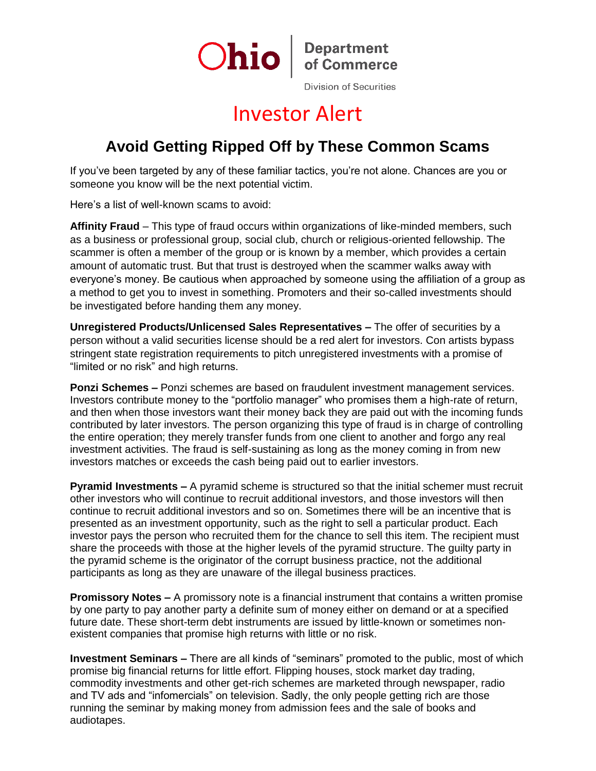

## Investor Alert

## **Avoid Getting Ripped Off by These Common Scams**

If you've been targeted by any of these familiar tactics, you're not alone. Chances are you or someone you know will be the next potential victim.

Here's a list of well-known scams to avoid:

**Affinity Fraud** – This type of fraud occurs within organizations of like-minded members, such as a business or professional group, social club, church or religious-oriented fellowship. The scammer is often a member of the group or is known by a member, which provides a certain amount of automatic trust. But that trust is destroyed when the scammer walks away with everyone's money. Be cautious when approached by someone using the affiliation of a group as a method to get you to invest in something. Promoters and their so-called investments should be investigated before handing them any money.

**Unregistered Products/Unlicensed Sales Representatives –** The offer of securities by a person without a valid securities license should be a red alert for investors. Con artists bypass stringent state registration requirements to pitch unregistered investments with a promise of "limited or no risk" and high returns.

**Ponzi Schemes –** Ponzi schemes are based on fraudulent investment management services. Investors contribute money to the "portfolio manager" who promises them a high-rate of return, and then when those investors want their money back they are paid out with the incoming funds contributed by later investors. The person organizing this type of fraud is in charge of controlling the entire operation; they merely transfer funds from one client to another and forgo any real investment activities. The fraud is self-sustaining as long as the money coming in from new investors matches or exceeds the cash being paid out to earlier investors.

**Pyramid Investments –** A pyramid scheme is structured so that the initial schemer must recruit other investors who will continue to recruit additional investors, and those investors will then continue to recruit additional investors and so on. Sometimes there will be an incentive that is presented as an investment opportunity, such as the right to sell a particular product. Each investor pays the person who recruited them for the chance to sell this item. The recipient must share the proceeds with those at the higher levels of the pyramid structure. The guilty party in the pyramid scheme is the originator of the corrupt business practice, not the additional participants as long as they are unaware of the illegal business practices.

**Promissory Notes –** A promissory note is a financial instrument that contains a written promise by one party to pay another party a definite sum of money either on demand or at a specified future date. These short-term debt instruments are issued by little-known or sometimes nonexistent companies that promise high returns with little or no risk.

**Investment Seminars –** There are all kinds of "seminars" promoted to the public, most of which promise big financial returns for little effort. Flipping houses, stock market day trading, commodity investments and other get-rich schemes are marketed through newspaper, radio and TV ads and "infomercials" on television. Sadly, the only people getting rich are those running the seminar by making money from admission fees and the sale of books and audiotapes.